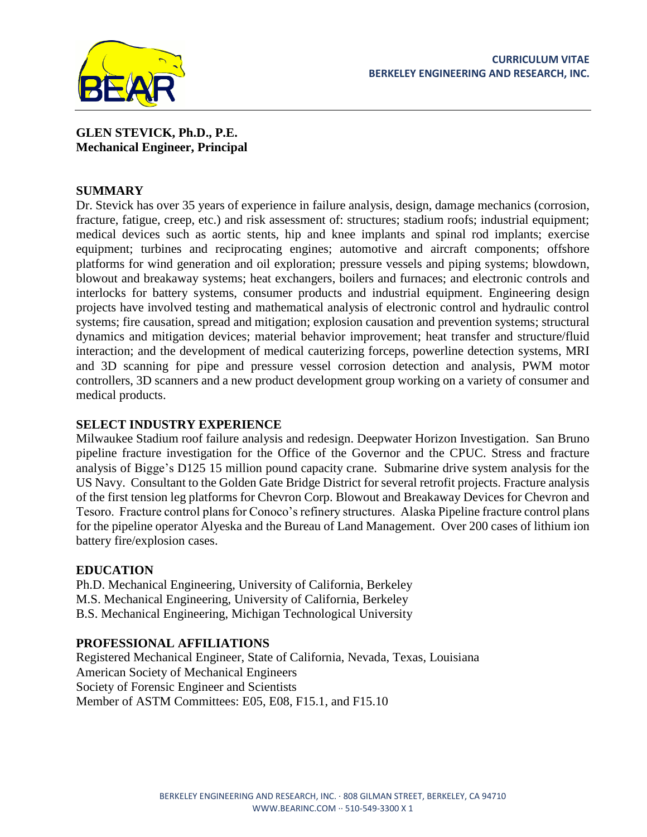

# **GLEN STEVICK, Ph.D., P.E. Mechanical Engineer, Principal**

## **SUMMARY**

Dr. Stevick has over 35 years of experience in failure analysis, design, damage mechanics (corrosion, fracture, fatigue, creep, etc.) and risk assessment of: structures; stadium roofs; industrial equipment; medical devices such as aortic stents, hip and knee implants and spinal rod implants; exercise equipment; turbines and reciprocating engines; automotive and aircraft components; offshore platforms for wind generation and oil exploration; pressure vessels and piping systems; blowdown, blowout and breakaway systems; heat exchangers, boilers and furnaces; and electronic controls and interlocks for battery systems, consumer products and industrial equipment. Engineering design projects have involved testing and mathematical analysis of electronic control and hydraulic control systems; fire causation, spread and mitigation; explosion causation and prevention systems; structural dynamics and mitigation devices; material behavior improvement; heat transfer and structure/fluid interaction; and the development of medical cauterizing forceps, powerline detection systems, MRI and 3D scanning for pipe and pressure vessel corrosion detection and analysis, PWM motor controllers, 3D scanners and a new product development group working on a variety of consumer and medical products.

## **SELECT INDUSTRY EXPERIENCE**

Milwaukee Stadium roof failure analysis and redesign. Deepwater Horizon Investigation. San Bruno pipeline fracture investigation for the Office of the Governor and the CPUC. Stress and fracture analysis of Bigge's D125 15 million pound capacity crane. Submarine drive system analysis for the US Navy. Consultant to the Golden Gate Bridge District for several retrofit projects. Fracture analysis of the first tension leg platforms for Chevron Corp. Blowout and Breakaway Devices for Chevron and Tesoro. Fracture control plans for Conoco's refinery structures. Alaska Pipeline fracture control plans for the pipeline operator Alyeska and the Bureau of Land Management. Over 200 cases of lithium ion battery fire/explosion cases.

# **EDUCATION**

Ph.D. Mechanical Engineering, University of California, Berkeley M.S. Mechanical Engineering, University of California, Berkeley B.S. Mechanical Engineering, Michigan Technological University

## **PROFESSIONAL AFFILIATIONS**

Registered Mechanical Engineer, State of California, Nevada, Texas, Louisiana American Society of Mechanical Engineers Society of Forensic Engineer and Scientists Member of ASTM Committees: E05, E08, F15.1, and F15.10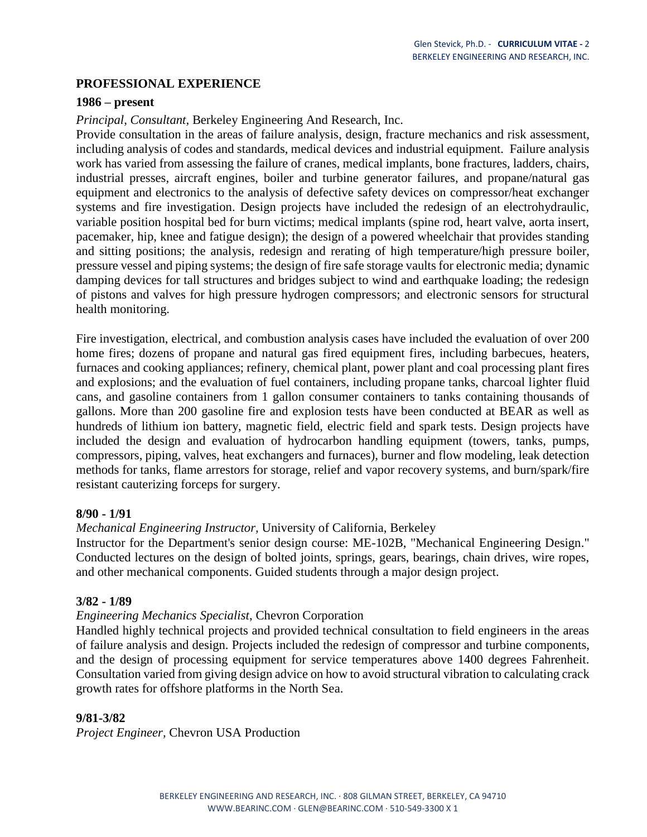## **PROFESSIONAL EXPERIENCE**

#### **1986 – present**

*Principal, Consultant,* Berkeley Engineering And Research, Inc.

Provide consultation in the areas of failure analysis, design, fracture mechanics and risk assessment, including analysis of codes and standards, medical devices and industrial equipment. Failure analysis work has varied from assessing the failure of cranes, medical implants, bone fractures, ladders, chairs, industrial presses, aircraft engines, boiler and turbine generator failures, and propane/natural gas equipment and electronics to the analysis of defective safety devices on compressor/heat exchanger systems and fire investigation. Design projects have included the redesign of an electrohydraulic, variable position hospital bed for burn victims; medical implants (spine rod, heart valve, aorta insert, pacemaker, hip, knee and fatigue design); the design of a powered wheelchair that provides standing and sitting positions; the analysis, redesign and rerating of high temperature/high pressure boiler, pressure vessel and piping systems; the design of fire safe storage vaults for electronic media; dynamic damping devices for tall structures and bridges subject to wind and earthquake loading; the redesign of pistons and valves for high pressure hydrogen compressors; and electronic sensors for structural health monitoring.

Fire investigation, electrical, and combustion analysis cases have included the evaluation of over 200 home fires; dozens of propane and natural gas fired equipment fires, including barbecues, heaters, furnaces and cooking appliances; refinery, chemical plant, power plant and coal processing plant fires and explosions; and the evaluation of fuel containers, including propane tanks, charcoal lighter fluid cans, and gasoline containers from 1 gallon consumer containers to tanks containing thousands of gallons. More than 200 gasoline fire and explosion tests have been conducted at BEAR as well as hundreds of lithium ion battery, magnetic field, electric field and spark tests. Design projects have included the design and evaluation of hydrocarbon handling equipment (towers, tanks, pumps, compressors, piping, valves, heat exchangers and furnaces), burner and flow modeling, leak detection methods for tanks, flame arrestors for storage, relief and vapor recovery systems, and burn/spark/fire resistant cauterizing forceps for surgery.

#### **8/90 - 1/91**

*Mechanical Engineering Instructor,* University of California, Berkeley

Instructor for the Department's senior design course: ME-102B, "Mechanical Engineering Design." Conducted lectures on the design of bolted joints, springs, gears, bearings, chain drives, wire ropes, and other mechanical components. Guided students through a major design project.

#### **3/82 - 1/89**

## *Engineering Mechanics Specialist*, Chevron Corporation

Handled highly technical projects and provided technical consultation to field engineers in the areas of failure analysis and design. Projects included the redesign of compressor and turbine components, and the design of processing equipment for service temperatures above 1400 degrees Fahrenheit. Consultation varied from giving design advice on how to avoid structural vibration to calculating crack growth rates for offshore platforms in the North Sea.

## **9/81-3/82**

*Project Engineer,* Chevron USA Production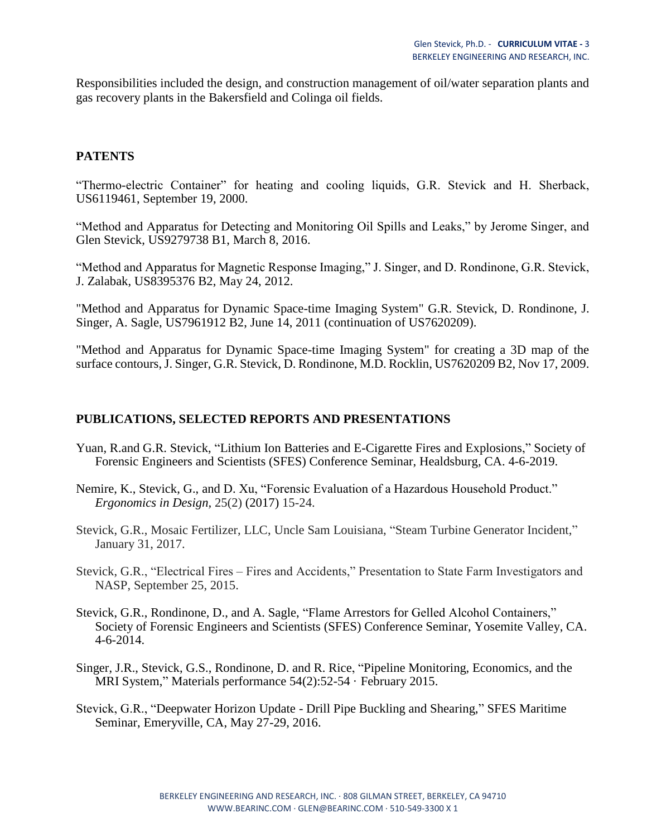Responsibilities included the design, and construction management of oil/water separation plants and gas recovery plants in the Bakersfield and Colinga oil fields.

### **PATENTS**

"Thermo-electric Container" for heating and cooling liquids, G.R. Stevick and H. Sherback, US6119461, September 19, 2000.

"Method and Apparatus for Detecting and Monitoring Oil Spills and Leaks," by Jerome Singer, and Glen Stevick, US9279738 B1, March 8, 2016.

"Method and Apparatus for Magnetic Response Imaging," J. Singer, and D. Rondinone, G.R. Stevick, J. Zalabak, US8395376 B2, May 24, 2012.

"Method and Apparatus for Dynamic Space-time Imaging System" G.R. Stevick, D. Rondinone, J. Singer, A. Sagle, US7961912 B2, June 14, 2011 (continuation of US7620209).

"Method and Apparatus for Dynamic Space-time Imaging System" for creating a 3D map of the surface contours, J. Singer, G.R. Stevick, D. Rondinone, M.D. Rocklin, US7620209 B2, Nov 17, 2009.

#### **PUBLICATIONS, SELECTED REPORTS AND PRESENTATIONS**

- Yuan, R.and G.R. Stevick, "Lithium Ion Batteries and E-Cigarette Fires and Explosions," Society of Forensic Engineers and Scientists (SFES) Conference Seminar, Healdsburg, CA. 4-6-2019.
- Nemire, K., Stevick, G., and D. Xu, "Forensic Evaluation of a Hazardous Household Product." *Ergonomics in Design,* 25(2) (2017) 15-24.
- Stevick, G.R., Mosaic Fertilizer, LLC, Uncle Sam Louisiana, "Steam Turbine Generator Incident," January 31, 2017.
- Stevick, G.R., "Electrical Fires Fires and Accidents," Presentation to State Farm Investigators and NASP, September 25, 2015.
- Stevick, G.R., Rondinone, D., and A. Sagle, "Flame Arrestors for Gelled Alcohol Containers," Society of Forensic Engineers and Scientists (SFES) Conference Seminar, Yosemite Valley, CA. 4-6-2014.
- Singer, J.R., Stevick, G.S., Rondinone, D. and R. Rice, "Pipeline Monitoring, Economics, and the MRI System," Materials performance 54(2):52-54 · February 2015.
- Stevick, G.R., "Deepwater Horizon Update Drill Pipe Buckling and Shearing," SFES Maritime Seminar, Emeryville, CA, May 27-29, 2016.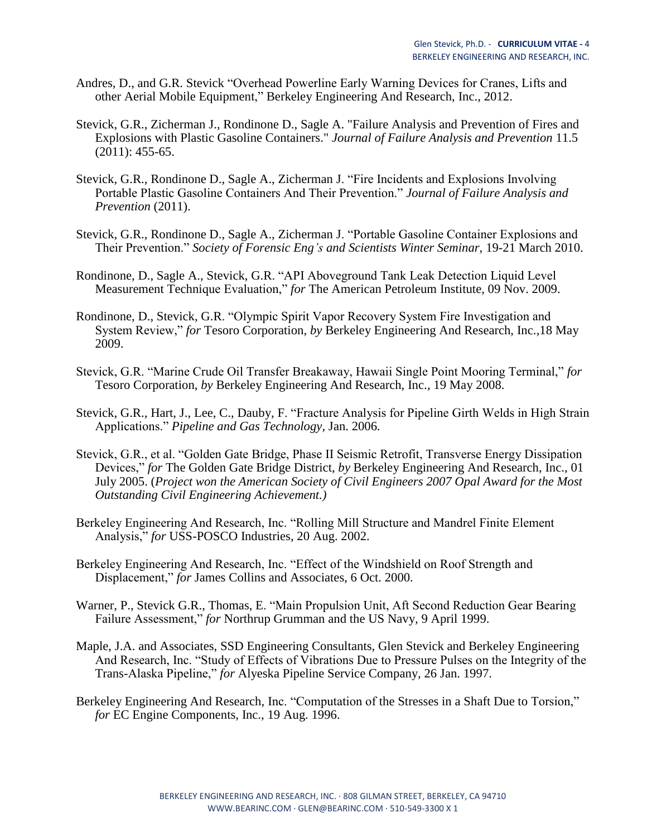- Andres, D., and G.R. Stevick "Overhead Powerline Early Warning Devices for Cranes, Lifts and other Aerial Mobile Equipment," Berkeley Engineering And Research, Inc., 2012.
- Stevick, G.R., Zicherman J., Rondinone D., Sagle A. "Failure Analysis and Prevention of Fires and Explosions with Plastic Gasoline Containers." *Journal of Failure Analysis and Prevention* 11.5 (2011): 455-65.
- Stevick, G.R., Rondinone D., Sagle A., Zicherman J. "Fire Incidents and Explosions Involving Portable Plastic Gasoline Containers And Their Prevention." *Journal of Failure Analysis and Prevention* (2011).
- Stevick, G.R., Rondinone D., Sagle A., Zicherman J. "Portable Gasoline Container Explosions and Their Prevention." *Society of Forensic Eng's and Scientists Winter Seminar,* 19-21 March 2010.
- Rondinone, D., Sagle A., Stevick, G.R. "API Aboveground Tank Leak Detection Liquid Level Measurement Technique Evaluation," *for* The American Petroleum Institute, 09 Nov. 2009.
- Rondinone, D., Stevick, G.R. "Olympic Spirit Vapor Recovery System Fire Investigation and System Review," *for* Tesoro Corporation, *by* Berkeley Engineering And Research, Inc.*,*18 May 2009.
- Stevick, G.R. "Marine Crude Oil Transfer Breakaway, Hawaii Single Point Mooring Terminal," *for*  Tesoro Corporation, *by* Berkeley Engineering And Research, Inc.*,* 19 May 2008.
- Stevick, G.R., Hart, J., Lee, C., Dauby, F. "Fracture Analysis for Pipeline Girth Welds in High Strain Applications." *Pipeline and Gas Technology,* Jan. 2006*.*
- Stevick, G.R., et al. "Golden Gate Bridge, Phase II Seismic Retrofit, Transverse Energy Dissipation Devices," *for* The Golden Gate Bridge District, *by* Berkeley Engineering And Research, Inc.*,* 01 July 2005. (*Project won the American Society of Civil Engineers 2007 Opal Award for the Most Outstanding Civil Engineering Achievement.)*
- Berkeley Engineering And Research, Inc. "Rolling Mill Structure and Mandrel Finite Element Analysis," *for* USS-POSCO Industries, 20 Aug. 2002.
- Berkeley Engineering And Research, Inc. "Effect of the Windshield on Roof Strength and Displacement," *for* James Collins and Associates, 6 Oct. 2000.
- Warner, P., Stevick G.R., Thomas, E. "Main Propulsion Unit, Aft Second Reduction Gear Bearing Failure Assessment," *for* Northrup Grumman and the US Navy*,* 9 April 1999.
- Maple, J.A. and Associates, SSD Engineering Consultants, Glen Stevick and Berkeley Engineering And Research, Inc. "Study of Effects of Vibrations Due to Pressure Pulses on the Integrity of the Trans-Alaska Pipeline," *for* Alyeska Pipeline Service Company*,* 26 Jan. 1997.
- Berkeley Engineering And Research, Inc. "Computation of the Stresses in a Shaft Due to Torsion," *for* EC Engine Components, Inc., 19 Aug. 1996.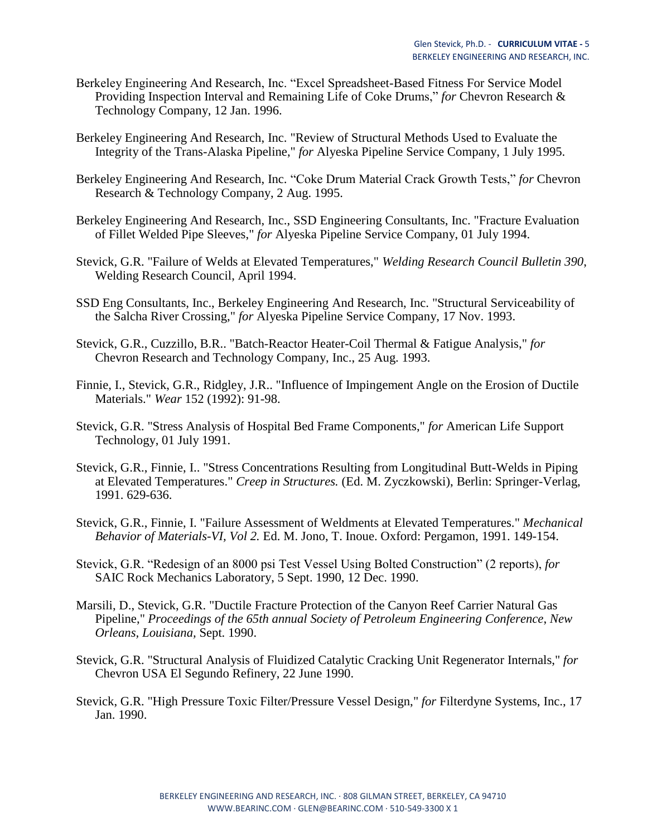- Berkeley Engineering And Research, Inc. "Excel Spreadsheet-Based Fitness For Service Model Providing Inspection Interval and Remaining Life of Coke Drums," *for* Chevron Research & Technology Company, 12 Jan. 1996.
- Berkeley Engineering And Research, Inc. "Review of Structural Methods Used to Evaluate the Integrity of the Trans-Alaska Pipeline," *for* Alyeska Pipeline Service Company, 1 July 1995.
- Berkeley Engineering And Research, Inc. "Coke Drum Material Crack Growth Tests," *for* Chevron Research & Technology Company, 2 Aug. 1995.
- Berkeley Engineering And Research, Inc., SSD Engineering Consultants, Inc. "Fracture Evaluation of Fillet Welded Pipe Sleeves," *for* Alyeska Pipeline Service Company, 01 July 1994.
- Stevick, G.R. "Failure of Welds at Elevated Temperatures," *Welding Research Council Bulletin 390*, Welding Research Council, April 1994.
- SSD Eng Consultants, Inc., Berkeley Engineering And Research, Inc. "Structural Serviceability of the Salcha River Crossing," *for* Alyeska Pipeline Service Company, 17 Nov. 1993.
- Stevick, G.R., Cuzzillo, B.R.. "Batch-Reactor Heater-Coil Thermal & Fatigue Analysis," *for*  Chevron Research and Technology Company, Inc., 25 Aug. 1993.
- Finnie, I., Stevick, G.R., Ridgley, J.R.. "Influence of Impingement Angle on the Erosion of Ductile Materials." *Wear* 152 (1992): 91-98.
- Stevick, G.R. "Stress Analysis of Hospital Bed Frame Components," *for* American Life Support Technology, 01 July 1991.
- Stevick, G.R., Finnie, I.. "Stress Concentrations Resulting from Longitudinal Butt-Welds in Piping at Elevated Temperatures." *Creep in Structures.* (Ed. M. Zyczkowski), Berlin: Springer-Verlag, 1991. 629-636.
- Stevick, G.R., Finnie, I. "Failure Assessment of Weldments at Elevated Temperatures." *Mechanical Behavior of Materials-VI, Vol 2.* Ed. M. Jono, T. Inoue. Oxford: Pergamon, 1991. 149-154.
- Stevick, G.R. "Redesign of an 8000 psi Test Vessel Using Bolted Construction" (2 reports), *for*  SAIC Rock Mechanics Laboratory, 5 Sept. 1990, 12 Dec. 1990.
- Marsili, D., Stevick, G.R. "Ductile Fracture Protection of the Canyon Reef Carrier Natural Gas Pipeline," *Proceedings of the 65th annual Society of Petroleum Engineering Conference*, *New Orleans, Louisiana,* Sept. 1990.
- Stevick, G.R. "Structural Analysis of Fluidized Catalytic Cracking Unit Regenerator Internals," *for*  Chevron USA El Segundo Refinery, 22 June 1990.
- Stevick, G.R. "High Pressure Toxic Filter/Pressure Vessel Design," *for* Filterdyne Systems, Inc., 17 Jan. 1990.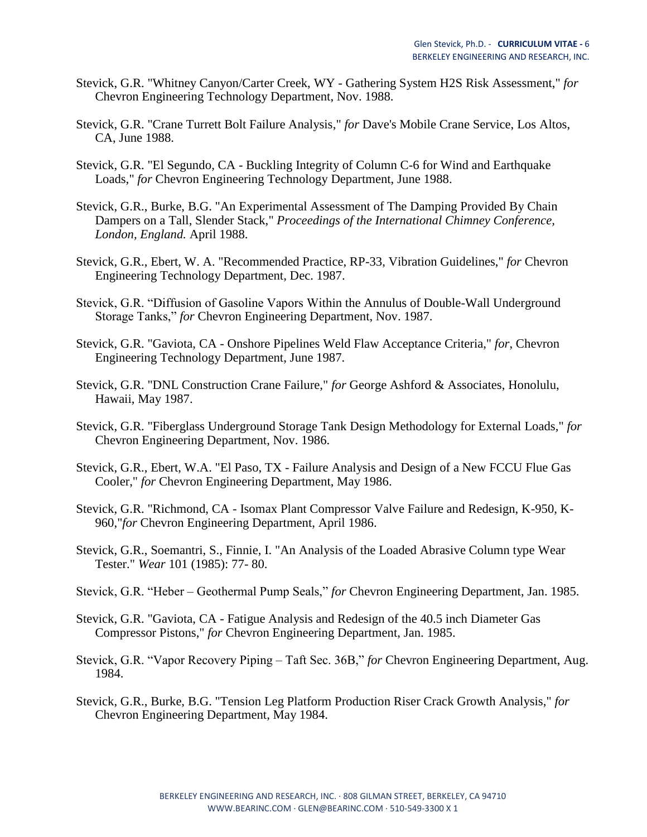- Stevick, G.R. "Whitney Canyon/Carter Creek, WY Gathering System H2S Risk Assessment," *for*  Chevron Engineering Technology Department, Nov. 1988.
- Stevick, G.R. "Crane Turrett Bolt Failure Analysis," *for* Dave's Mobile Crane Service, Los Altos, CA, June 1988.
- Stevick, G.R. "El Segundo, CA Buckling Integrity of Column C-6 for Wind and Earthquake Loads," *for* Chevron Engineering Technology Department, June 1988.
- Stevick, G.R., Burke, B.G. "An Experimental Assessment of The Damping Provided By Chain Dampers on a Tall, Slender Stack," *Proceedings of the International Chimney Conference, London, England.* April 1988.
- Stevick, G.R., Ebert, W. A. "Recommended Practice, RP-33, Vibration Guidelines," *for* Chevron Engineering Technology Department, Dec. 1987.
- Stevick, G.R. "Diffusion of Gasoline Vapors Within the Annulus of Double-Wall Underground Storage Tanks," *for* Chevron Engineering Department, Nov. 1987.
- Stevick, G.R. "Gaviota, CA Onshore Pipelines Weld Flaw Acceptance Criteria," *for*, Chevron Engineering Technology Department, June 1987.
- Stevick, G.R. "DNL Construction Crane Failure," *for* George Ashford & Associates, Honolulu, Hawaii, May 1987.
- Stevick, G.R. "Fiberglass Underground Storage Tank Design Methodology for External Loads," *for*  Chevron Engineering Department, Nov. 1986.
- Stevick, G.R., Ebert, W.A. "El Paso, TX Failure Analysis and Design of a New FCCU Flue Gas Cooler," *for* Chevron Engineering Department, May 1986.
- Stevick, G.R. "Richmond, CA Isomax Plant Compressor Valve Failure and Redesign, K-950, K-960,"*for* Chevron Engineering Department, April 1986.
- Stevick, G.R., Soemantri, S., Finnie, I. "An Analysis of the Loaded Abrasive Column type Wear Tester." *Wear* 101 (1985): 77- 80.
- Stevick, G.R. "Heber Geothermal Pump Seals," *for* Chevron Engineering Department, Jan. 1985.
- Stevick, G.R. "Gaviota, CA Fatigue Analysis and Redesign of the 40.5 inch Diameter Gas Compressor Pistons," *for* Chevron Engineering Department, Jan. 1985.
- Stevick, G.R. "Vapor Recovery Piping Taft Sec. 36B," *for* Chevron Engineering Department, Aug. 1984.
- Stevick, G.R., Burke, B.G. "Tension Leg Platform Production Riser Crack Growth Analysis," *for*  Chevron Engineering Department, May 1984.